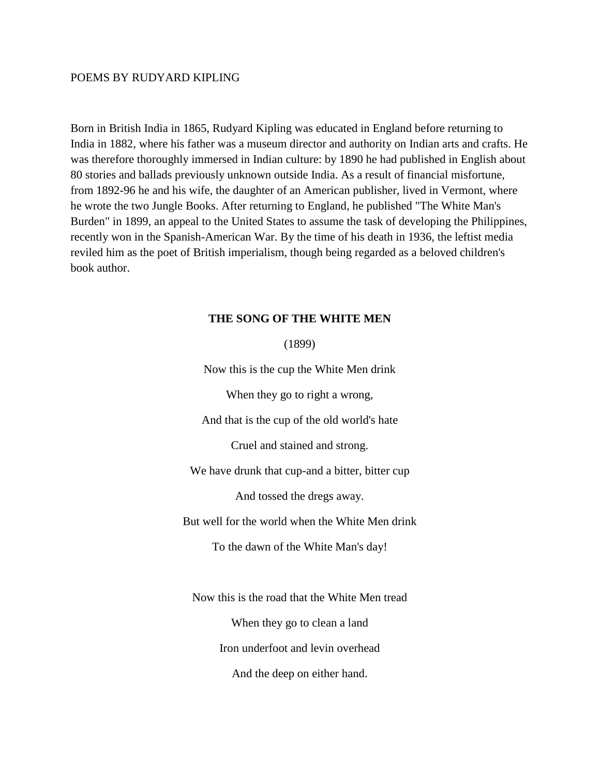# POEMS BY RUDYARD KIPLING

Born in British India in 1865, Rudyard Kipling was educated in England before returning to India in 1882, where his father was a museum director and authority on Indian arts and crafts. He was therefore thoroughly immersed in Indian culture: by 1890 he had published in English about 80 stories and ballads previously unknown outside India. As a result of financial misfortune, from 1892-96 he and his wife, the daughter of an American publisher, lived in Vermont, where he wrote the two Jungle Books. After returning to England, he published "The White Man's Burden" in 1899, an appeal to the United States to assume the task of developing the Philippines, recently won in the Spanish-American War. By the time of his death in 1936, the leftist media reviled him as the poet of British imperialism, though being regarded as a beloved children's book author.

### **THE SONG OF THE WHITE MEN**

(1899)

Now this is the cup the White Men drink When they go to right a wrong, And that is the cup of the old world's hate Cruel and stained and strong. We have drunk that cup-and a bitter, bitter cup And tossed the dregs away. But well for the world when the White Men drink To the dawn of the White Man's day! Now this is the road that the White Men tread When they go to clean a land Iron underfoot and levin overhead And the deep on either hand.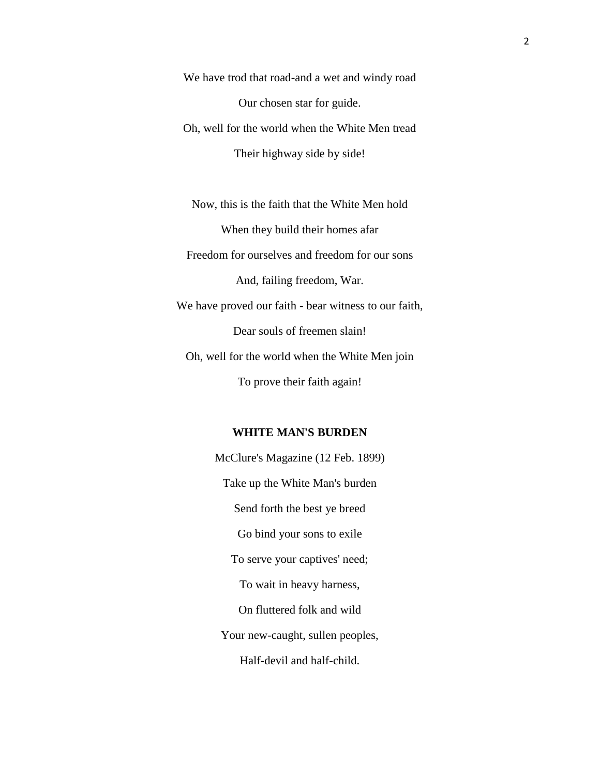We have trod that road-and a wet and windy road Our chosen star for guide. Oh, well for the world when the White Men tread Their highway side by side!

Now, this is the faith that the White Men hold When they build their homes afar Freedom for ourselves and freedom for our sons And, failing freedom, War. We have proved our faith - bear witness to our faith, Dear souls of freemen slain! Oh, well for the world when the White Men join To prove their faith again!

#### **WHITE MAN'S BURDEN**

McClure's Magazine (12 Feb. 1899) Take up the White Man's burden Send forth the best ye breed Go bind your sons to exile To serve your captives' need; To wait in heavy harness, On fluttered folk and wild Your new-caught, sullen peoples, Half-devil and half-child.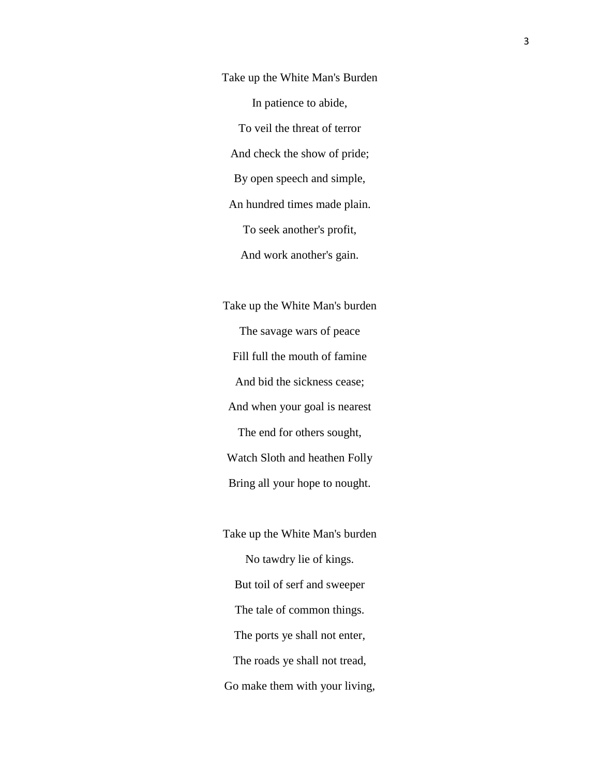Take up the White Man's Burden In patience to abide, To veil the threat of terror And check the show of pride; By open speech and simple, An hundred times made plain. To seek another's profit, And work another's gain.

Take up the White Man's burden The savage wars of peace Fill full the mouth of famine And bid the sickness cease; And when your goal is nearest The end for others sought, Watch Sloth and heathen Folly Bring all your hope to nought.

Take up the White Man's burden No tawdry lie of kings. But toil of serf and sweeper The tale of common things. The ports ye shall not enter, The roads ye shall not tread, Go make them with your living,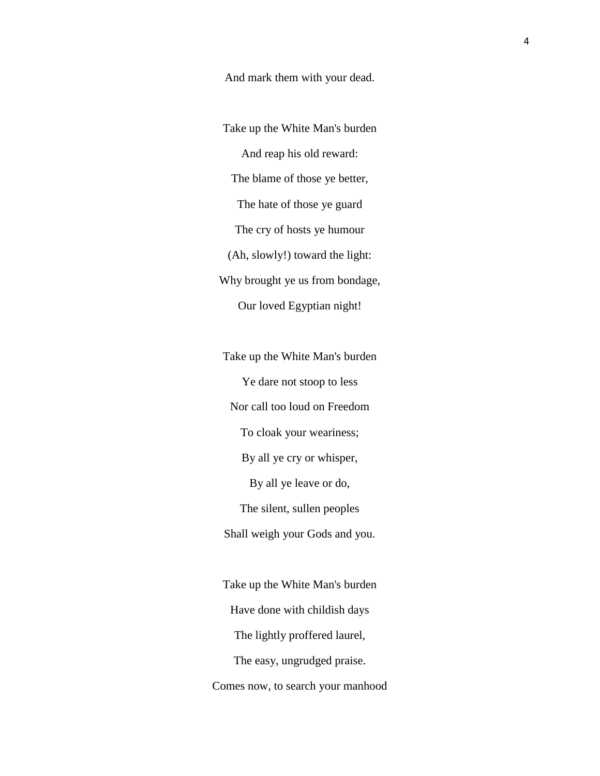And mark them with your dead.

Take up the White Man's burden And reap his old reward: The blame of those ye better, The hate of those ye guard The cry of hosts ye humour (Ah, slowly!) toward the light: Why brought ye us from bondage, Our loved Egyptian night!

Take up the White Man's burden Ye dare not stoop to less Nor call too loud on Freedom To cloak your weariness; By all ye cry or whisper, By all ye leave or do, The silent, sullen peoples Shall weigh your Gods and you.

Take up the White Man's burden Have done with childish days The lightly proffered laurel, The easy, ungrudged praise. Comes now, to search your manhood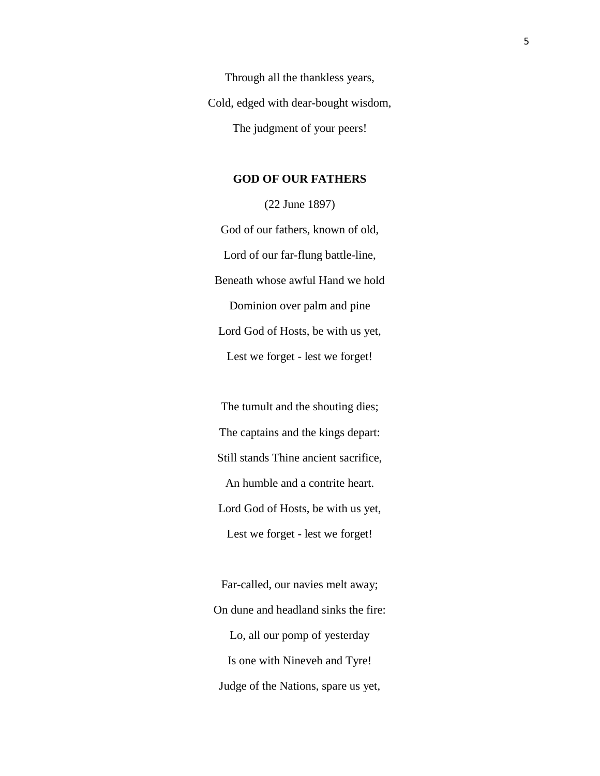Through all the thankless years, Cold, edged with dear-bought wisdom, The judgment of your peers!

# **GOD OF OUR FATHERS**

(22 June 1897) God of our fathers, known of old, Lord of our far-flung battle-line, Beneath whose awful Hand we hold Dominion over palm and pine Lord God of Hosts, be with us yet, Lest we forget - lest we forget!

The tumult and the shouting dies; The captains and the kings depart: Still stands Thine ancient sacrifice, An humble and a contrite heart. Lord God of Hosts, be with us yet, Lest we forget - lest we forget!

Far-called, our navies melt away; On dune and headland sinks the fire: Lo, all our pomp of yesterday Is one with Nineveh and Tyre! Judge of the Nations, spare us yet,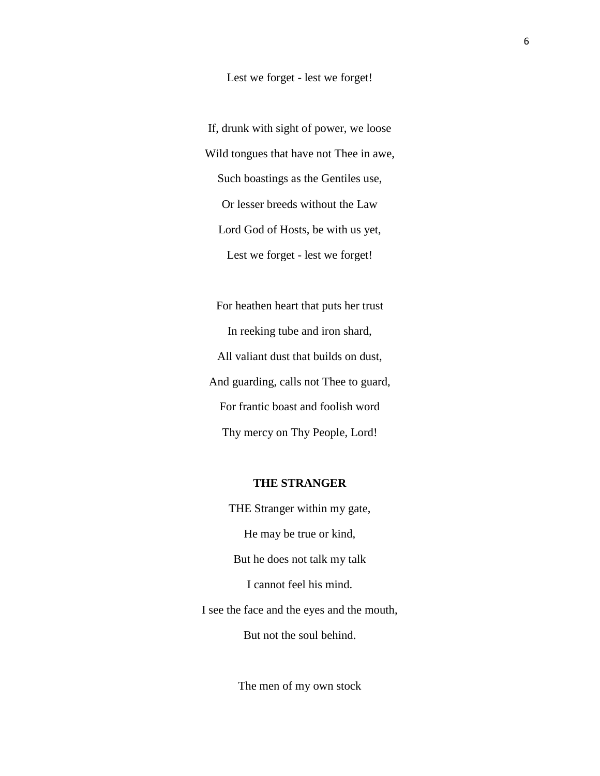#### Lest we forget - lest we forget!

If, drunk with sight of power, we loose Wild tongues that have not Thee in awe, Such boastings as the Gentiles use, Or lesser breeds without the Law Lord God of Hosts, be with us yet, Lest we forget - lest we forget!

For heathen heart that puts her trust In reeking tube and iron shard, All valiant dust that builds on dust, And guarding, calls not Thee to guard, For frantic boast and foolish word Thy mercy on Thy People, Lord!

# **THE STRANGER**

THE Stranger within my gate, He may be true or kind, But he does not talk my talk I cannot feel his mind. I see the face and the eyes and the mouth, But not the soul behind.

The men of my own stock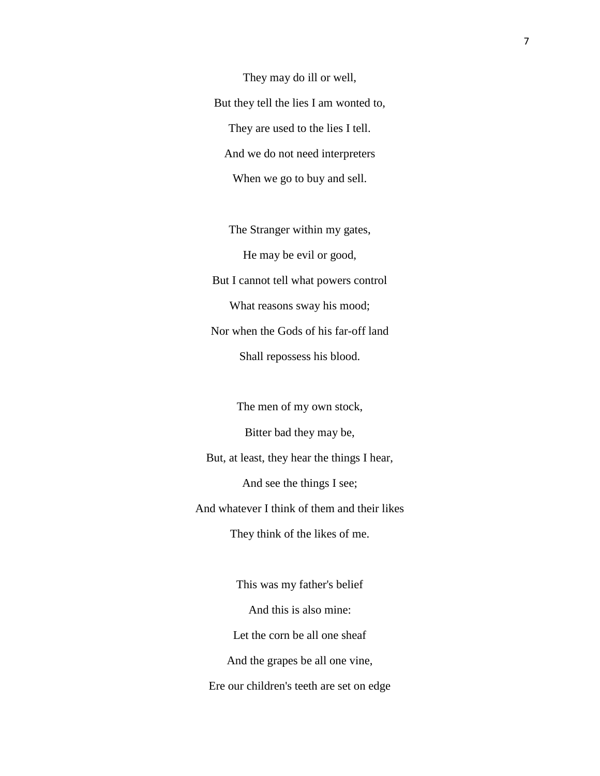They may do ill or well, But they tell the lies I am wonted to, They are used to the lies I tell. And we do not need interpreters When we go to buy and sell.

The Stranger within my gates, He may be evil or good, But I cannot tell what powers control What reasons sway his mood; Nor when the Gods of his far-off land Shall repossess his blood.

The men of my own stock, Bitter bad they may be, But, at least, they hear the things I hear, And see the things I see; And whatever I think of them and their likes They think of the likes of me.

This was my father's belief And this is also mine: Let the corn be all one sheaf And the grapes be all one vine, Ere our children's teeth are set on edge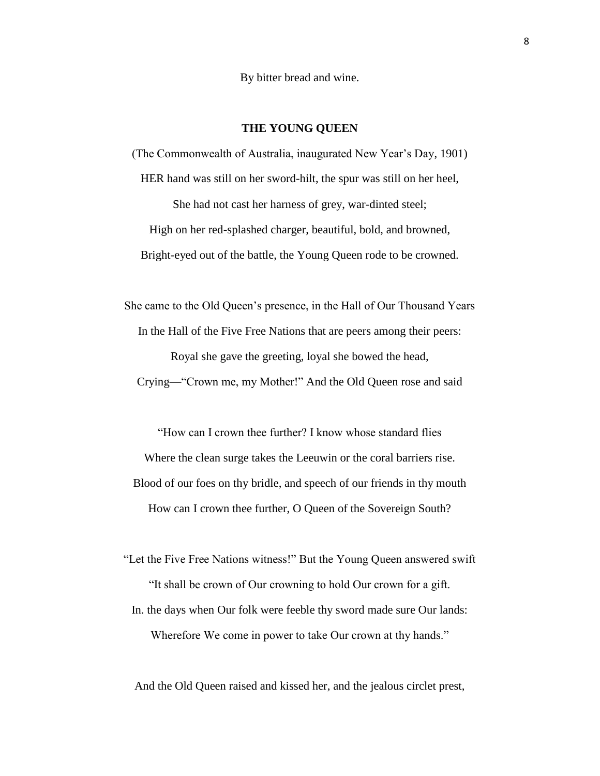By bitter bread and wine.

### **THE YOUNG QUEEN**

(The Commonwealth of Australia, inaugurated New Year's Day, 1901) HER hand was still on her sword-hilt, the spur was still on her heel, She had not cast her harness of grey, war-dinted steel; High on her red-splashed charger, beautiful, bold, and browned, Bright-eyed out of the battle, the Young Queen rode to be crowned.

She came to the Old Queen's presence, in the Hall of Our Thousand Years In the Hall of the Five Free Nations that are peers among their peers: Royal she gave the greeting, loyal she bowed the head, Crying—"Crown me, my Mother!" And the Old Queen rose and said

"How can I crown thee further? I know whose standard flies Where the clean surge takes the Leeuwin or the coral barriers rise. Blood of our foes on thy bridle, and speech of our friends in thy mouth How can I crown thee further, O Queen of the Sovereign South?

"Let the Five Free Nations witness!" But the Young Queen answered swift "It shall be crown of Our crowning to hold Our crown for a gift.

In. the days when Our folk were feeble thy sword made sure Our lands: Wherefore We come in power to take Our crown at thy hands."

And the Old Queen raised and kissed her, and the jealous circlet prest,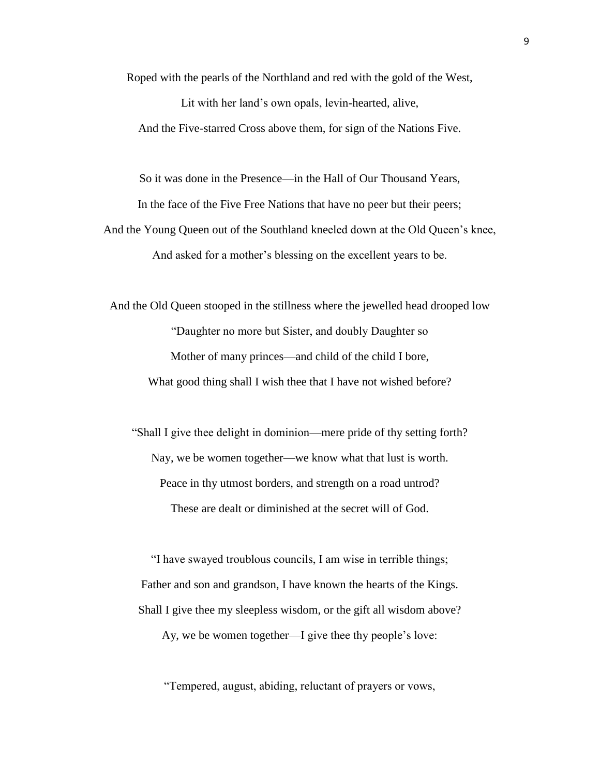Roped with the pearls of the Northland and red with the gold of the West,

Lit with her land's own opals, levin-hearted, alive, And the Five-starred Cross above them, for sign of the Nations Five.

So it was done in the Presence—in the Hall of Our Thousand Years,

In the face of the Five Free Nations that have no peer but their peers;

And the Young Queen out of the Southland kneeled down at the Old Queen's knee, And asked for a mother's blessing on the excellent years to be.

And the Old Queen stooped in the stillness where the jewelled head drooped low "Daughter no more but Sister, and doubly Daughter so Mother of many princes—and child of the child I bore, What good thing shall I wish thee that I have not wished before?

"Shall I give thee delight in dominion—mere pride of thy setting forth? Nay, we be women together—we know what that lust is worth. Peace in thy utmost borders, and strength on a road untrod? These are dealt or diminished at the secret will of God.

"I have swayed troublous councils, I am wise in terrible things; Father and son and grandson, I have known the hearts of the Kings. Shall I give thee my sleepless wisdom, or the gift all wisdom above?

Ay, we be women together—I give thee thy people's love:

"Tempered, august, abiding, reluctant of prayers or vows,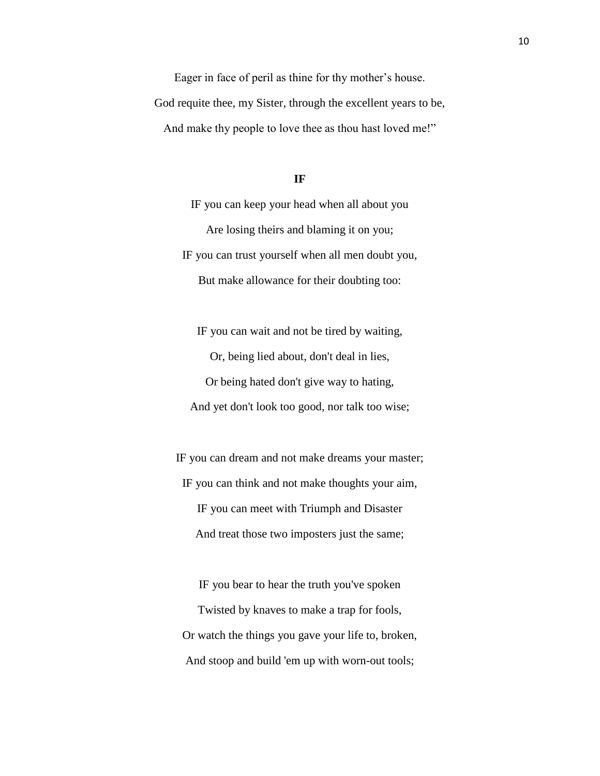Eager in face of peril as thine for thy mother's house. God requite thee, my Sister, through the excellent years to be, And make thy people to love thee as thou hast loved me!"

#### **IF**

IF you can keep your head when all about you Are losing theirs and blaming it on you; IF you can trust yourself when all men doubt you, But make allowance for their doubting too:

IF you can wait and not be tired by waiting, Or, being lied about, don't deal in lies, Or being hated don't give way to hating, And yet don't look too good, nor talk too wise;

IF you can dream and not make dreams your master; IF you can think and not make thoughts your aim, IF you can meet with Triumph and Disaster And treat those two imposters just the same;

IF you bear to hear the truth you've spoken Twisted by knaves to make a trap for fools, Or watch the things you gave your life to, broken, And stoop and build 'em up with worn-out tools;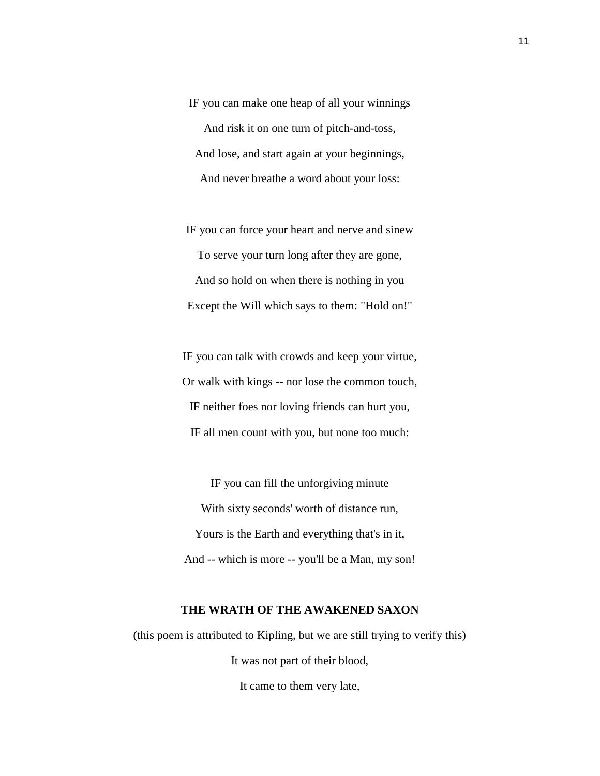IF you can make one heap of all your winnings And risk it on one turn of pitch-and-toss, And lose, and start again at your beginnings, And never breathe a word about your loss:

IF you can force your heart and nerve and sinew To serve your turn long after they are gone, And so hold on when there is nothing in you Except the Will which says to them: "Hold on!"

IF you can talk with crowds and keep your virtue, Or walk with kings -- nor lose the common touch, IF neither foes nor loving friends can hurt you, IF all men count with you, but none too much:

IF you can fill the unforgiving minute With sixty seconds' worth of distance run, Yours is the Earth and everything that's in it, And -- which is more -- you'll be a Man, my son!

# **THE WRATH OF THE AWAKENED SAXON**

(this poem is attributed to Kipling, but we are still trying to verify this) It was not part of their blood,

It came to them very late,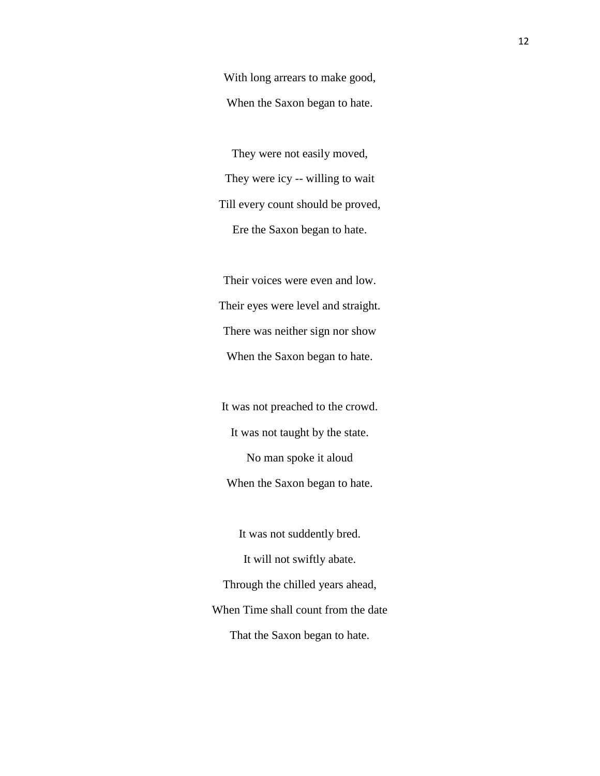With long arrears to make good, When the Saxon began to hate.

They were not easily moved, They were icy -- willing to wait Till every count should be proved, Ere the Saxon began to hate.

Their voices were even and low. Their eyes were level and straight. There was neither sign nor show When the Saxon began to hate.

It was not preached to the crowd. It was not taught by the state. No man spoke it aloud When the Saxon began to hate.

It was not suddently bred. It will not swiftly abate. Through the chilled years ahead, When Time shall count from the date That the Saxon began to hate.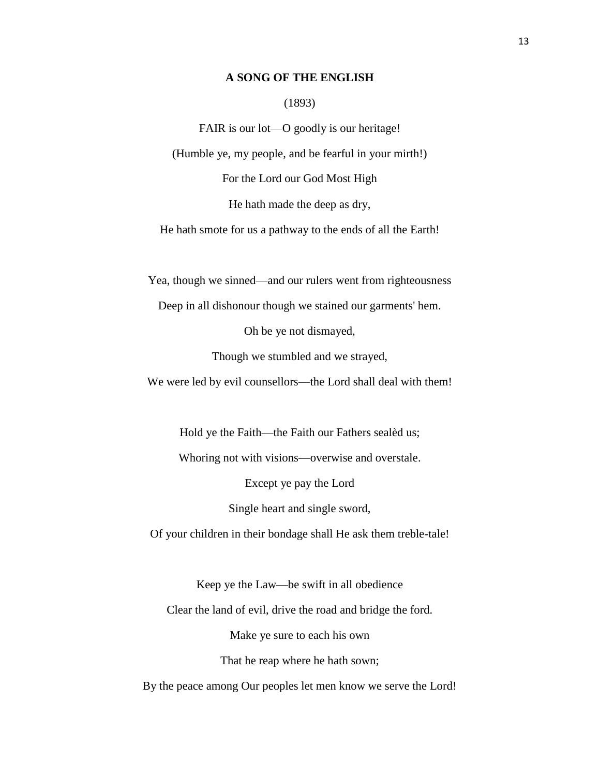# **A SONG OF THE ENGLISH**

#### (1893)

FAIR is our lot—O goodly is our heritage! (Humble ye, my people, and be fearful in your mirth!) For the Lord our God Most High He hath made the deep as dry,

He hath smote for us a pathway to the ends of all the Earth!

Yea, though we sinned—and our rulers went from righteousness

Deep in all dishonour though we stained our garments' hem.

Oh be ye not dismayed,

Though we stumbled and we strayed,

We were led by evil counsellors—the Lord shall deal with them!

Hold ye the Faith—the Faith our Fathers sealèd us;

Whoring not with visions—overwise and overstale.

Except ye pay the Lord

Single heart and single sword,

Of your children in their bondage shall He ask them treble-tale!

Keep ye the Law—be swift in all obedience

Clear the land of evil, drive the road and bridge the ford.

Make ye sure to each his own

That he reap where he hath sown;

By the peace among Our peoples let men know we serve the Lord!